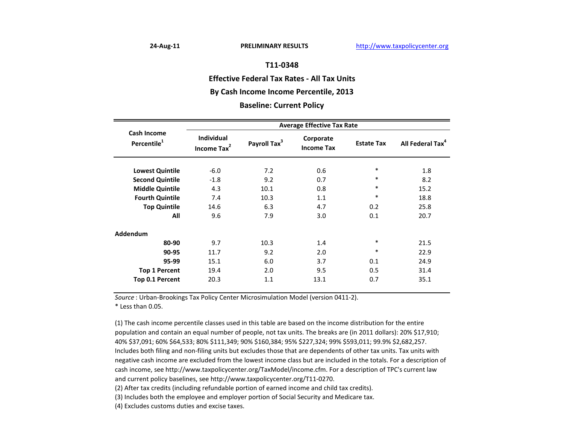### **Effective Federal Tax Rates ‐ All Tax Units**

# **By Cash Income Income Percentile, 2013**

#### **Baseline: Current Policy**

|                                               | <b>Average Effective Tax Rate</b>            |                          |                                |                   |                              |  |
|-----------------------------------------------|----------------------------------------------|--------------------------|--------------------------------|-------------------|------------------------------|--|
| <b>Cash Income</b><br>Percentile <sup>1</sup> | <b>Individual</b><br>Income Tax <sup>2</sup> | Payroll Tax <sup>3</sup> | Corporate<br><b>Income Tax</b> | <b>Estate Tax</b> | All Federal Tax <sup>4</sup> |  |
| <b>Lowest Quintile</b>                        | $-6.0$                                       | 7.2                      | 0.6                            | $\ast$            | 1.8                          |  |
| <b>Second Quintile</b>                        | $-1.8$                                       | 9.2                      | 0.7                            | $\ast$            | 8.2                          |  |
| <b>Middle Quintile</b>                        | 4.3                                          | 10.1                     | 0.8                            | $\ast$            | 15.2                         |  |
| <b>Fourth Quintile</b>                        | 7.4                                          | 10.3                     | 1.1                            | $\ast$            | 18.8                         |  |
| <b>Top Quintile</b>                           | 14.6                                         | 6.3                      | 4.7                            | 0.2               | 25.8                         |  |
| All                                           | 9.6                                          | 7.9                      | 3.0                            | 0.1               | 20.7                         |  |
| Addendum                                      |                                              |                          |                                |                   |                              |  |
| 80-90                                         | 9.7                                          | 10.3                     | 1.4                            | $\ast$            | 21.5                         |  |
| 90-95                                         | 11.7                                         | 9.2                      | 2.0                            | $\ast$            | 22.9                         |  |
| 95-99                                         | 15.1                                         | 6.0                      | 3.7                            | 0.1               | 24.9                         |  |
| <b>Top 1 Percent</b>                          | 19.4                                         | 2.0                      | 9.5                            | 0.5               | 31.4                         |  |
| Top 0.1 Percent                               | 20.3                                         | 1.1                      | 13.1                           | 0.7               | 35.1                         |  |

*Source* : Urban‐Brookings Tax Policy Center Microsimulation Model (version 0411‐2).

\* Less than 0.05.

(1) The cash income percentile classes used in this table are based on the income distribution for the entire population and contain an equal number of people, not tax units. The breaks are (in 2011 dollars): 20% \$17,910; 40% \$37,091; 60% \$64,533; 80% \$111,349; 90% \$160,384; 95% \$227,324; 99% \$593,011; 99.9% \$2,682,257. Includes both filing and non‐filing units but excludes those that are dependents of other tax units. Tax units with negative cash income are excluded from the lowest income class but are included in the totals. For <sup>a</sup> description of cash income, see http://www.taxpolicycenter.org/TaxModel/income.cfm. For <sup>a</sup> description of TPC's current law and current policy baselines, see http://www.taxpolicycenter.org/T11‐0270.

(2) After tax credits (including refundable portion of earned income and child tax credits).

(3) Includes both the employee and employer portion of Social Security and Medicare tax.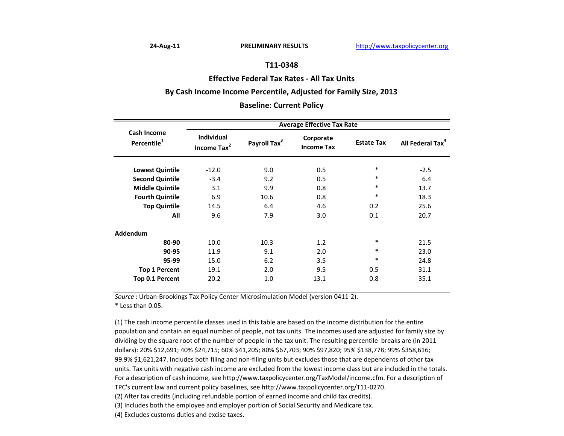#### **Effective Federal Tax Rates ‐ All Tax Units**

# **By Cash Income Income Percentile, Adjusted for Family Size, 2013**

#### **Baseline: Current Policy**

|                                        | <b>Average Effective Tax Rate</b>            |                          |                                |                   |                              |  |  |
|----------------------------------------|----------------------------------------------|--------------------------|--------------------------------|-------------------|------------------------------|--|--|
| Cash Income<br>Percentile <sup>1</sup> | <b>Individual</b><br>Income Tax <sup>2</sup> | Payroll Tax <sup>3</sup> | Corporate<br><b>Income Tax</b> | <b>Estate Tax</b> | All Federal Tax <sup>4</sup> |  |  |
| <b>Lowest Quintile</b>                 | $-12.0$                                      | 9.0                      | 0.5                            | $\ast$            | $-2.5$                       |  |  |
| <b>Second Quintile</b>                 | $-3.4$                                       | 9.2                      | 0.5                            | $\ast$            | 6.4                          |  |  |
| <b>Middle Quintile</b>                 | 3.1                                          | 9.9                      | 0.8                            | $\ast$            | 13.7                         |  |  |
| <b>Fourth Quintile</b>                 | 6.9                                          | 10.6                     | 0.8                            | $\ast$            | 18.3                         |  |  |
| <b>Top Quintile</b>                    | 14.5                                         | 6.4                      | 4.6                            | 0.2               | 25.6                         |  |  |
| All                                    | 9.6                                          | 7.9                      | 3.0                            | 0.1               | 20.7                         |  |  |
| Addendum                               |                                              |                          |                                |                   |                              |  |  |
| 80-90                                  | 10.0                                         | 10.3                     | 1.2                            | $\ast$            | 21.5                         |  |  |
| 90-95                                  | 11.9                                         | 9.1                      | 2.0                            | $\ast$            | 23.0                         |  |  |
| 95-99                                  | 15.0                                         | 6.2                      | 3.5                            | $\ast$            | 24.8                         |  |  |
| <b>Top 1 Percent</b>                   | 19.1                                         | 2.0                      | 9.5                            | 0.5               | 31.1                         |  |  |
| Top 0.1 Percent                        | 20.2                                         | 1.0                      | 13.1                           | 0.8               | 35.1                         |  |  |

*Source* : Urban‐Brookings Tax Policy Center Microsimulation Model (version 0411‐2).

\* Less than 0.05.

(1) The cash income percentile classes used in this table are based on the income distribution for the entire population and contain an equal number of people, not tax units. The incomes used are adjusted for family size by dividing by the square root of the number of people in the tax unit. The resulting percentile breaks are (in 2011 dollars): 20% \$12,691; 40% \$24,715; 60% \$41,205; 80% \$67,703; 90% \$97,820; 95% \$138,778; 99% \$358,616; 99.9% \$1,621,247. Includes both filing and non‐filing units but excludes those that are dependents of other tax units. Tax units with negative cash income are excluded from the lowest income class but are included in the totals. For a description of cash income, see http://www.taxpolicycenter.org/TaxModel/income.cfm. For <sup>a</sup> description of TPC's current law and current policy baselines, see http://www.taxpolicycenter.org/T11‐0270.

(2) After tax credits (including refundable portion of earned income and child tax credits).

(3) Includes both the employee and employer portion of Social Security and Medicare tax.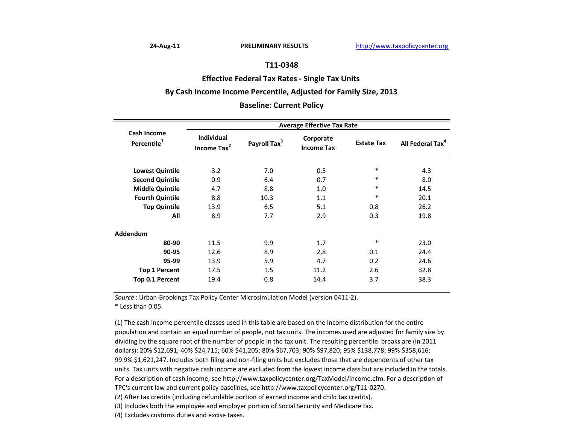#### **Effective Federal Tax Rates ‐ Single Tax Units**

# **By Cash Income Income Percentile, Adjusted for Family Size, 2013**

#### **Baseline: Current Policy**

|                                               | <b>Average Effective Tax Rate</b>            |                          |                                |                   |                              |  |
|-----------------------------------------------|----------------------------------------------|--------------------------|--------------------------------|-------------------|------------------------------|--|
| <b>Cash Income</b><br>Percentile <sup>1</sup> | <b>Individual</b><br>Income Tax <sup>2</sup> | Payroll Tax <sup>3</sup> | Corporate<br><b>Income Tax</b> | <b>Estate Tax</b> | All Federal Tax <sup>4</sup> |  |
| <b>Lowest Quintile</b>                        | $-3.2$                                       | 7.0                      | 0.5                            | $\ast$            | 4.3                          |  |
|                                               |                                              |                          |                                | $\ast$            |                              |  |
| <b>Second Quintile</b>                        | 0.9                                          | 6.4                      | 0.7                            |                   | 8.0                          |  |
| <b>Middle Quintile</b>                        | 4.7                                          | 8.8                      | 1.0                            | $\ast$            | 14.5                         |  |
| <b>Fourth Quintile</b>                        | 8.8                                          | 10.3                     | 1.1                            | $\ast$            | 20.1                         |  |
| <b>Top Quintile</b>                           | 13.9                                         | 6.5                      | 5.1                            | 0.8               | 26.2                         |  |
| All                                           | 8.9                                          | 7.7                      | 2.9                            | 0.3               | 19.8                         |  |
| <b>Addendum</b>                               |                                              |                          |                                |                   |                              |  |
| 80-90                                         | 11.5                                         | 9.9                      | 1.7                            | $\ast$            | 23.0                         |  |
| 90-95                                         | 12.6                                         | 8.9                      | 2.8                            | 0.1               | 24.4                         |  |
| 95-99                                         | 13.9                                         | 5.9                      | 4.7                            | 0.2               | 24.6                         |  |
| <b>Top 1 Percent</b>                          | 17.5                                         | 1.5                      | 11.2                           | 2.6               | 32.8                         |  |
| Top 0.1 Percent                               | 19.4                                         | 0.8                      | 14.4                           | 3.7               | 38.3                         |  |

*Source* : Urban‐Brookings Tax Policy Center Microsimulation Model (version 0411‐2).

\* Less than 0.05.

(1) The cash income percentile classes used in this table are based on the income distribution for the entire population and contain an equal number of people, not tax units. The incomes used are adjusted for family size by dividing by the square root of the number of people in the tax unit. The resulting percentile breaks are (in 2011 dollars): 20% \$12,691; 40% \$24,715; 60% \$41,205; 80% \$67,703; 90% \$97,820; 95% \$138,778; 99% \$358,616; 99.9% \$1,621,247. Includes both filing and non‐filing units but excludes those that are dependents of other tax units. Tax units with negative cash income are excluded from the lowest income class but are included in the totals. For a description of cash income, see http://www.taxpolicycenter.org/TaxModel/income.cfm. For <sup>a</sup> description of TPC's current law and current policy baselines, see http://www.taxpolicycenter.org/T11‐0270.

(2) After tax credits (including refundable portion of earned income and child tax credits).

(3) Includes both the employee and employer portion of Social Security and Medicare tax.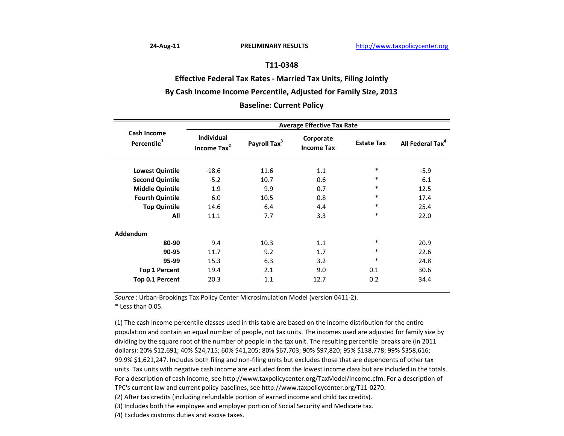**Effective Federal Tax Rates ‐ Married Tax Units, Filing Jointly**

# **By Cash Income Income Percentile, Adjusted for Family Size, 2013**

### **Baseline: Current Policy**

|                                        | <b>Average Effective Tax Rate</b>            |                          |                                |                   |                              |  |  |
|----------------------------------------|----------------------------------------------|--------------------------|--------------------------------|-------------------|------------------------------|--|--|
| Cash Income<br>Percentile <sup>1</sup> | <b>Individual</b><br>Income Tax <sup>2</sup> | Payroll Tax <sup>3</sup> | Corporate<br><b>Income Tax</b> | <b>Estate Tax</b> | All Federal Tax <sup>4</sup> |  |  |
|                                        |                                              |                          |                                | $\ast$            |                              |  |  |
| <b>Lowest Quintile</b>                 | $-18.6$                                      | 11.6                     | 1.1                            |                   | $-5.9$                       |  |  |
| <b>Second Quintile</b>                 | $-5.2$                                       | 10.7                     | 0.6                            | $\ast$            | 6.1                          |  |  |
| <b>Middle Quintile</b>                 | 1.9                                          | 9.9                      | 0.7                            | $\ast$            | 12.5                         |  |  |
| <b>Fourth Quintile</b>                 | 6.0                                          | 10.5                     | 0.8                            | $\ast$            | 17.4                         |  |  |
| <b>Top Quintile</b>                    | 14.6                                         | 6.4                      | 4.4                            | $\ast$            | 25.4                         |  |  |
| All                                    | 11.1                                         | 7.7                      | 3.3                            | $\ast$            | 22.0                         |  |  |
| <b>Addendum</b>                        |                                              |                          |                                |                   |                              |  |  |
| 80-90                                  | 9.4                                          | 10.3                     | 1.1                            | $\ast$            | 20.9                         |  |  |
| 90-95                                  | 11.7                                         | 9.2                      | 1.7                            | $\ast$            | 22.6                         |  |  |
| 95-99                                  | 15.3                                         | 6.3                      | 3.2                            | $\ast$            | 24.8                         |  |  |
| <b>Top 1 Percent</b>                   | 19.4                                         | 2.1                      | 9.0                            | 0.1               | 30.6                         |  |  |
| <b>Top 0.1 Percent</b>                 | 20.3                                         | 1.1                      | 12.7                           | 0.2               | 34.4                         |  |  |

*Source* : Urban‐Brookings Tax Policy Center Microsimulation Model (version 0411‐2).

\* Less than 0.05.

(1) The cash income percentile classes used in this table are based on the income distribution for the entire population and contain an equal number of people, not tax units. The incomes used are adjusted for family size by dividing by the square root of the number of people in the tax unit. The resulting percentile breaks are (in 2011 dollars): 20% \$12,691; 40% \$24,715; 60% \$41,205; 80% \$67,703; 90% \$97,820; 95% \$138,778; 99% \$358,616; 99.9% \$1,621,247. Includes both filing and non‐filing units but excludes those that are dependents of other tax units. Tax units with negative cash income are excluded from the lowest income class but are included in the totals. For a description of cash income, see http://www.taxpolicycenter.org/TaxModel/income.cfm. For <sup>a</sup> description of TPC's current law and current policy baselines, see http://www.taxpolicycenter.org/T11‐0270.

(2) After tax credits (including refundable portion of earned income and child tax credits).

(3) Includes both the employee and employer portion of Social Security and Medicare tax.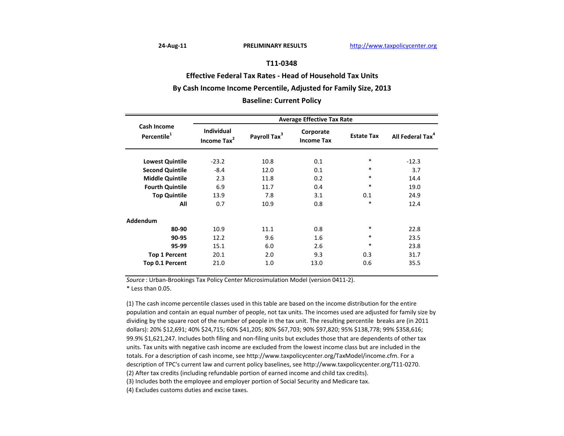**Effective Federal Tax Rates ‐ Head of Household Tax Units By Cash Income Income Percentile, Adjusted for Family Size, 2013**

**Baseline: Current Policy**

|                                        | <b>Average Effective Tax Rate</b>            |                          |                                |                   |                              |  |
|----------------------------------------|----------------------------------------------|--------------------------|--------------------------------|-------------------|------------------------------|--|
| Cash Income<br>Percentile <sup>1</sup> | <b>Individual</b><br>Income Tax <sup>2</sup> | Payroll Tax <sup>3</sup> | Corporate<br><b>Income Tax</b> | <b>Estate Tax</b> | All Federal Tax <sup>4</sup> |  |
| <b>Lowest Quintile</b>                 | $-23.2$                                      | 10.8                     | 0.1                            | $\ast$            | $-12.3$                      |  |
| <b>Second Quintile</b>                 | $-8.4$                                       | 12.0                     | 0.1                            | $\ast$            | 3.7                          |  |
| <b>Middle Quintile</b>                 | 2.3                                          | 11.8                     | 0.2                            | $\ast$            | 14.4                         |  |
| <b>Fourth Quintile</b>                 | 6.9                                          | 11.7                     | 0.4                            | $\ast$            | 19.0                         |  |
| <b>Top Quintile</b>                    | 13.9                                         | 7.8                      | 3.1                            | 0.1               | 24.9                         |  |
| All                                    | 0.7                                          | 10.9                     | 0.8                            | *                 | 12.4                         |  |
| Addendum                               |                                              |                          |                                |                   |                              |  |
| 80-90                                  | 10.9                                         | 11.1                     | 0.8                            | $\ast$            | 22.8                         |  |
| 90-95                                  | 12.2                                         | 9.6                      | 1.6                            | $\ast$            | 23.5                         |  |
| 95-99                                  | 15.1                                         | 6.0                      | 2.6                            | $\ast$            | 23.8                         |  |
| <b>Top 1 Percent</b>                   | 20.1                                         | 2.0                      | 9.3                            | 0.3               | 31.7                         |  |
| Top 0.1 Percent                        | 21.0                                         | 1.0                      | 13.0                           | 0.6               | 35.5                         |  |

*Source* : Urban‐Brookings Tax Policy Center Microsimulation Model (version 0411‐2). \* Less than 0.05.

(2) After tax credits (including refundable portion of earned income and child tax credits). (3) Includes both the employee and employer portion of Social Security and Medicare tax. (1) The cash income percentile classes used in this table are based on the income distribution for the entire population and contain an equal number of people, not tax units. The incomes used are adjusted for family size by dividing by the square root of the number of people in the tax unit. The resulting percentile breaks are (in 2011 dollars): 20% \$12,691; 40% \$24,715; 60% \$41,205; 80% \$67,703; 90% \$97,820; 95% \$138,778; 99% \$358,616; 99.9% \$1,621,247. Includes both filing and non‐filing units but excludes those that are dependents of other tax units. Tax units with negative cash income are excluded from the lowest income class but are included in the totals. For a description of cash income, see http://www.taxpolicycenter.org/TaxModel/income.cfm. For <sup>a</sup> description of TPC's current law and current policy baselines, see http://www.taxpolicycenter.org/T11‐0270.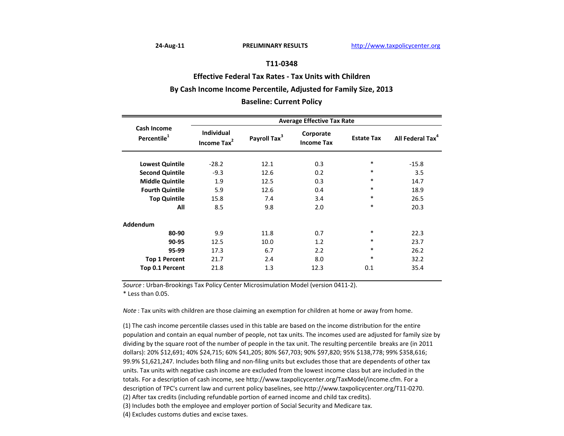**Effective Federal Tax Rates ‐ Tax Units with Children**

### **By Cash Income Income Percentile, Adjusted for Family Size, 2013**

### **Baseline: Current Policy**

|                                               | <b>Average Effective Tax Rate</b>     |                          |                                |                   |                              |  |  |
|-----------------------------------------------|---------------------------------------|--------------------------|--------------------------------|-------------------|------------------------------|--|--|
| <b>Cash Income</b><br>Percentile <sup>1</sup> | Individual<br>Income Tax <sup>2</sup> | Payroll Tax <sup>3</sup> | Corporate<br><b>Income Tax</b> | <b>Estate Tax</b> | All Federal Tax <sup>4</sup> |  |  |
| <b>Lowest Quintile</b>                        | $-28.2$                               | 12.1                     | 0.3                            | $\ast$            | $-15.8$                      |  |  |
| <b>Second Quintile</b>                        | $-9.3$                                | 12.6                     | 0.2                            | $\ast$            | 3.5                          |  |  |
| <b>Middle Quintile</b>                        | 1.9                                   | 12.5                     | 0.3                            | $\ast$            | 14.7                         |  |  |
| <b>Fourth Quintile</b>                        | 5.9                                   | 12.6                     | 0.4                            | $\ast$            | 18.9                         |  |  |
| <b>Top Quintile</b>                           | 15.8                                  | 7.4                      | 3.4                            | $\ast$            | 26.5                         |  |  |
| All                                           | 8.5                                   | 9.8                      | 2.0                            | $\ast$            | 20.3                         |  |  |
| <b>Addendum</b>                               |                                       |                          |                                |                   |                              |  |  |
| 80-90                                         | 9.9                                   | 11.8                     | 0.7                            | $\ast$            | 22.3                         |  |  |
| 90-95                                         | 12.5                                  | 10.0                     | 1.2                            | $\ast$            | 23.7                         |  |  |
| 95-99                                         | 17.3                                  | 6.7                      | 2.2                            | $\ast$            | 26.2                         |  |  |
| <b>Top 1 Percent</b>                          | 21.7                                  | 2.4                      | 8.0                            | $\ast$            | 32.2                         |  |  |
| Top 0.1 Percent                               | 21.8                                  | 1.3                      | 12.3                           | 0.1               | 35.4                         |  |  |

*Source* : Urban‐Brookings Tax Policy Center Microsimulation Model (version 0411‐2).

\* Less than 0.05.

*Note* : Tax units with children are those claiming an exemption for children at home or away from home.

(2) After tax credits (including refundable portion of earned income and child tax credits). (3) Includes both the employee and employer portion of Social Security and Medicare tax. (4) Excludes customs duties and excise taxes. (1) The cash income percentile classes used in this table are based on the income distribution for the entire population and contain an equal number of people, not tax units. The incomes used are adjusted for family size by dividing by the square root of the number of people in the tax unit. The resulting percentile breaks are (in 2011 dollars): 20% \$12,691; 40% \$24,715; 60% \$41,205; 80% \$67,703; 90% \$97,820; 95% \$138,778; 99% \$358,616; 99.9% \$1,621,247. Includes both filing and non‐filing units but excludes those that are dependents of other tax units. Tax units with negative cash income are excluded from the lowest income class but are included in the totals. For a description of cash income, see http://www.taxpolicycenter.org/TaxModel/income.cfm. For <sup>a</sup> description of TPC's current law and current policy baselines, see http://www.taxpolicycenter.org/T11‐0270.